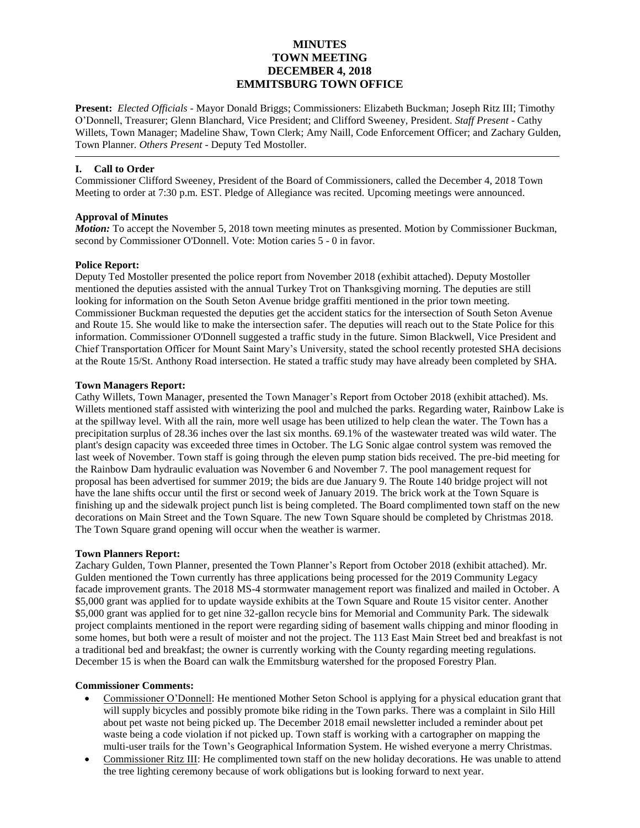# **MINUTES TOWN MEETING DECEMBER 4, 2018 EMMITSBURG TOWN OFFICE**

**Present:** *Elected Officials* - Mayor Donald Briggs; Commissioners: Elizabeth Buckman; Joseph Ritz III; Timothy O'Donnell, Treasurer; Glenn Blanchard, Vice President; and Clifford Sweeney, President. *Staff Present* - Cathy Willets, Town Manager; Madeline Shaw, Town Clerk; Amy Naill, Code Enforcement Officer; and Zachary Gulden, Town Planner. *Others Present* - Deputy Ted Mostoller.

### **I. Call to Order**

Commissioner Clifford Sweeney, President of the Board of Commissioners, called the December 4, 2018 Town Meeting to order at 7:30 p.m. EST. Pledge of Allegiance was recited. Upcoming meetings were announced.

# **Approval of Minutes**

*Motion:* To accept the November 5, 2018 town meeting minutes as presented. Motion by Commissioner Buckman, second by Commissioner O'Donnell. Vote: Motion caries 5 - 0 in favor.

# **Police Report:**

Deputy Ted Mostoller presented the police report from November 2018 (exhibit attached). Deputy Mostoller mentioned the deputies assisted with the annual Turkey Trot on Thanksgiving morning. The deputies are still looking for information on the South Seton Avenue bridge graffiti mentioned in the prior town meeting. Commissioner Buckman requested the deputies get the accident statics for the intersection of South Seton Avenue and Route 15. She would like to make the intersection safer. The deputies will reach out to the State Police for this information. Commissioner O'Donnell suggested a traffic study in the future. Simon Blackwell, Vice President and Chief Transportation Officer for Mount Saint Mary's University, stated the school recently protested SHA decisions at the Route 15/St. Anthony Road intersection. He stated a traffic study may have already been completed by SHA.

# **Town Managers Report:**

Cathy Willets, Town Manager, presented the Town Manager's Report from October 2018 (exhibit attached). Ms. Willets mentioned staff assisted with winterizing the pool and mulched the parks. Regarding water, Rainbow Lake is at the spillway level. With all the rain, more well usage has been utilized to help clean the water. The Town has a precipitation surplus of 28.36 inches over the last six months. 69.1% of the wastewater treated was wild water. The plant's design capacity was exceeded three times in October. The LG Sonic algae control system was removed the last week of November. Town staff is going through the eleven pump station bids received. The pre-bid meeting for the Rainbow Dam hydraulic evaluation was November 6 and November 7. The pool management request for proposal has been advertised for summer 2019; the bids are due January 9. The Route 140 bridge project will not have the lane shifts occur until the first or second week of January 2019. The brick work at the Town Square is finishing up and the sidewalk project punch list is being completed. The Board complimented town staff on the new decorations on Main Street and the Town Square. The new Town Square should be completed by Christmas 2018. The Town Square grand opening will occur when the weather is warmer.

### **Town Planners Report:**

Zachary Gulden, Town Planner, presented the Town Planner's Report from October 2018 (exhibit attached). Mr. Gulden mentioned the Town currently has three applications being processed for the 2019 Community Legacy facade improvement grants. The 2018 MS-4 stormwater management report was finalized and mailed in October. A \$5,000 grant was applied for to update wayside exhibits at the Town Square and Route 15 visitor center. Another \$5,000 grant was applied for to get nine 32-gallon recycle bins for Memorial and Community Park. The sidewalk project complaints mentioned in the report were regarding siding of basement walls chipping and minor flooding in some homes, but both were a result of moister and not the project. The 113 East Main Street bed and breakfast is not a traditional bed and breakfast; the owner is currently working with the County regarding meeting regulations. December 15 is when the Board can walk the Emmitsburg watershed for the proposed Forestry Plan.

### **Commissioner Comments:**

- Commissioner O'Donnell: He mentioned Mother Seton School is applying for a physical education grant that will supply bicycles and possibly promote bike riding in the Town parks. There was a complaint in Silo Hill about pet waste not being picked up. The December 2018 email newsletter included a reminder about pet waste being a code violation if not picked up. Town staff is working with a cartographer on mapping the multi-user trails for the Town's Geographical Information System. He wished everyone a merry Christmas.
- Commissioner Ritz III: He complimented town staff on the new holiday decorations. He was unable to attend the tree lighting ceremony because of work obligations but is looking forward to next year.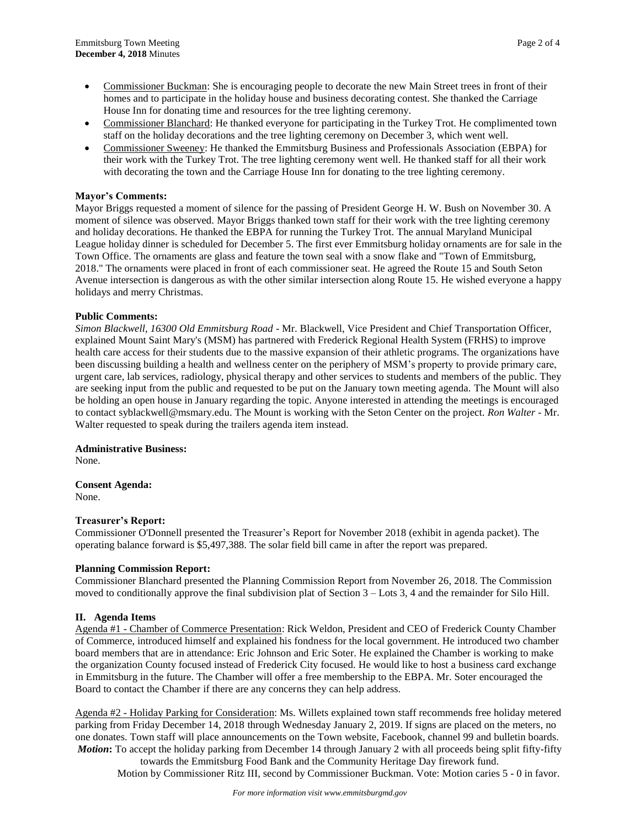- Commissioner Buckman: She is encouraging people to decorate the new Main Street trees in front of their homes and to participate in the holiday house and business decorating contest. She thanked the Carriage House Inn for donating time and resources for the tree lighting ceremony.
- Commissioner Blanchard: He thanked everyone for participating in the Turkey Trot. He complimented town staff on the holiday decorations and the tree lighting ceremony on December 3, which went well.
- Commissioner Sweeney: He thanked the Emmitsburg Business and Professionals Association (EBPA) for their work with the Turkey Trot. The tree lighting ceremony went well. He thanked staff for all their work with decorating the town and the Carriage House Inn for donating to the tree lighting ceremony.

# **Mayor's Comments:**

Mayor Briggs requested a moment of silence for the passing of President George H. W. Bush on November 30. A moment of silence was observed. Mayor Briggs thanked town staff for their work with the tree lighting ceremony and holiday decorations. He thanked the EBPA for running the Turkey Trot. The annual Maryland Municipal League holiday dinner is scheduled for December 5. The first ever Emmitsburg holiday ornaments are for sale in the Town Office. The ornaments are glass and feature the town seal with a snow flake and "Town of Emmitsburg, 2018." The ornaments were placed in front of each commissioner seat. He agreed the Route 15 and South Seton Avenue intersection is dangerous as with the other similar intersection along Route 15. He wished everyone a happy holidays and merry Christmas.

# **Public Comments:**

*Simon Blackwell, 16300 Old Emmitsburg Road -* Mr. Blackwell, Vice President and Chief Transportation Officer, explained Mount Saint Mary's (MSM) has partnered with Frederick Regional Health System (FRHS) to improve health care access for their students due to the massive expansion of their athletic programs. The organizations have been discussing building a health and wellness center on the periphery of MSM's property to provide primary care, urgent care, lab services, radiology, physical therapy and other services to students and members of the public. They are seeking input from the public and requested to be put on the January town meeting agenda. The Mount will also be holding an open house in January regarding the topic. Anyone interested in attending the meetings is encouraged to contact syblackwell@msmary.edu. The Mount is working with the Seton Center on the project. *Ron Walter* - Mr. Walter requested to speak during the trailers agenda item instead.

# **Administrative Business:**

None.

**Consent Agenda:** None.

### **Treasurer's Report:**

Commissioner O'Donnell presented the Treasurer's Report for November 2018 (exhibit in agenda packet). The operating balance forward is \$5,497,388. The solar field bill came in after the report was prepared.

# **Planning Commission Report:**

Commissioner Blanchard presented the Planning Commission Report from November 26, 2018. The Commission moved to conditionally approve the final subdivision plat of Section 3 – Lots 3, 4 and the remainder for Silo Hill.

# **II. Agenda Items**

Agenda #1 - Chamber of Commerce Presentation: Rick Weldon, President and CEO of Frederick County Chamber of Commerce, introduced himself and explained his fondness for the local government. He introduced two chamber board members that are in attendance: Eric Johnson and Eric Soter. He explained the Chamber is working to make the organization County focused instead of Frederick City focused. He would like to host a business card exchange in Emmitsburg in the future. The Chamber will offer a free membership to the EBPA. Mr. Soter encouraged the Board to contact the Chamber if there are any concerns they can help address.

Agenda #2 - Holiday Parking for Consideration: Ms. Willets explained town staff recommends free holiday metered parking from Friday December 14, 2018 through Wednesday January 2, 2019. If signs are placed on the meters, no one donates. Town staff will place announcements on the Town website, Facebook, channel 99 and bulletin boards. *Motion***:** To accept the holiday parking from December 14 through January 2 with all proceeds being split fifty-fifty

towards the Emmitsburg Food Bank and the Community Heritage Day firework fund. Motion by Commissioner Ritz III, second by Commissioner Buckman. Vote: Motion caries 5 - 0 in favor.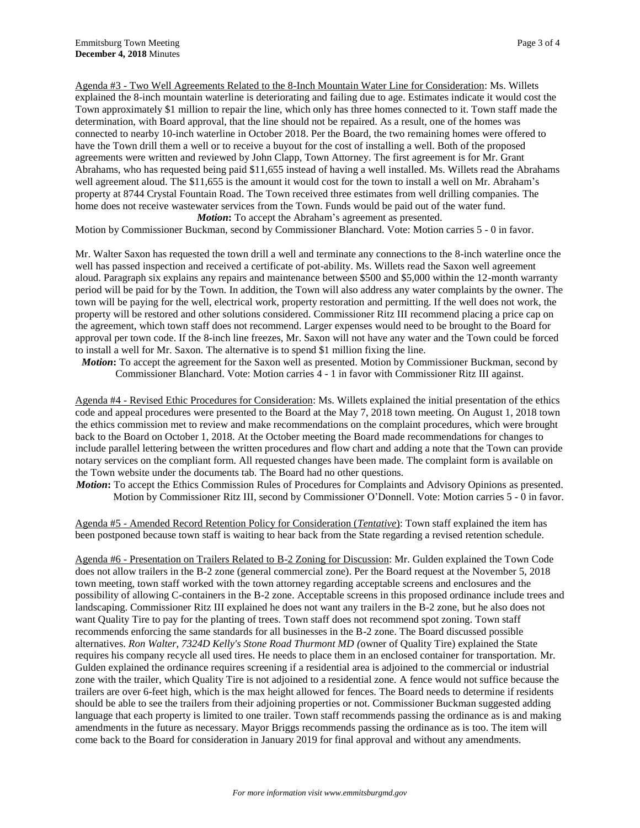Agenda #3 - Two Well Agreements Related to the 8-Inch Mountain Water Line for Consideration: Ms. Willets explained the 8-inch mountain waterline is deteriorating and failing due to age. Estimates indicate it would cost the Town approximately \$1 million to repair the line, which only has three homes connected to it. Town staff made the determination, with Board approval, that the line should not be repaired. As a result, one of the homes was connected to nearby 10-inch waterline in October 2018. Per the Board, the two remaining homes were offered to have the Town drill them a well or to receive a buyout for the cost of installing a well. Both of the proposed agreements were written and reviewed by John Clapp, Town Attorney. The first agreement is for Mr. Grant Abrahams, who has requested being paid \$11,655 instead of having a well installed. Ms. Willets read the Abrahams well agreement aloud. The \$11,655 is the amount it would cost for the town to install a well on Mr. Abraham's property at 8744 Crystal Fountain Road. The Town received three estimates from well drilling companies. The home does not receive wastewater services from the Town. Funds would be paid out of the water fund. *Motion*: To accept the Abraham's agreement as presented.

Motion by Commissioner Buckman, second by Commissioner Blanchard. Vote: Motion carries 5 - 0 in favor.

Mr. Walter Saxon has requested the town drill a well and terminate any connections to the 8-inch waterline once the well has passed inspection and received a certificate of pot-ability. Ms. Willets read the Saxon well agreement aloud. Paragraph six explains any repairs and maintenance between \$500 and \$5,000 within the 12-month warranty period will be paid for by the Town. In addition, the Town will also address any water complaints by the owner. The town will be paying for the well, electrical work, property restoration and permitting. If the well does not work, the property will be restored and other solutions considered. Commissioner Ritz III recommend placing a price cap on the agreement, which town staff does not recommend. Larger expenses would need to be brought to the Board for approval per town code. If the 8-inch line freezes, Mr. Saxon will not have any water and the Town could be forced to install a well for Mr. Saxon. The alternative is to spend \$1 million fixing the line.

*Motion***:** To accept the agreement for the Saxon well as presented. Motion by Commissioner Buckman, second by Commissioner Blanchard. Vote: Motion carries 4 - 1 in favor with Commissioner Ritz III against.

Agenda #4 - Revised Ethic Procedures for Consideration: Ms. Willets explained the initial presentation of the ethics code and appeal procedures were presented to the Board at the May 7, 2018 town meeting. On August 1, 2018 town the ethics commission met to review and make recommendations on the complaint procedures, which were brought back to the Board on October 1, 2018. At the October meeting the Board made recommendations for changes to include parallel lettering between the written procedures and flow chart and adding a note that the Town can provide notary services on the compliant form. All requested changes have been made. The complaint form is available on the Town website under the documents tab. The Board had no other questions.

*Motion*: To accept the Ethics Commission Rules of Procedures for Complaints and Advisory Opinions as presented. Motion by Commissioner Ritz III, second by Commissioner O'Donnell. Vote: Motion carries 5 - 0 in favor.

Agenda #5 - Amended Record Retention Policy for Consideration (*Tentative*): Town staff explained the item has been postponed because town staff is waiting to hear back from the State regarding a revised retention schedule.

Agenda #6 - Presentation on Trailers Related to B-2 Zoning for Discussion: Mr. Gulden explained the Town Code does not allow trailers in the B-2 zone (general commercial zone). Per the Board request at the November 5, 2018 town meeting, town staff worked with the town attorney regarding acceptable screens and enclosures and the possibility of allowing C-containers in the B-2 zone. Acceptable screens in this proposed ordinance include trees and landscaping. Commissioner Ritz III explained he does not want any trailers in the B-2 zone, but he also does not want Quality Tire to pay for the planting of trees. Town staff does not recommend spot zoning. Town staff recommends enforcing the same standards for all businesses in the B-2 zone. The Board discussed possible alternatives. *Ron Walter, 7324D Kelly's Stone Road Thurmont MD (*owner of Quality Tire) explained the State requires his company recycle all used tires. He needs to place them in an enclosed container for transportation. Mr. Gulden explained the ordinance requires screening if a residential area is adjoined to the commercial or industrial zone with the trailer, which Quality Tire is not adjoined to a residential zone. A fence would not suffice because the trailers are over 6-feet high, which is the max height allowed for fences. The Board needs to determine if residents should be able to see the trailers from their adjoining properties or not. Commissioner Buckman suggested adding language that each property is limited to one trailer. Town staff recommends passing the ordinance as is and making amendments in the future as necessary. Mayor Briggs recommends passing the ordinance as is too. The item will come back to the Board for consideration in January 2019 for final approval and without any amendments.